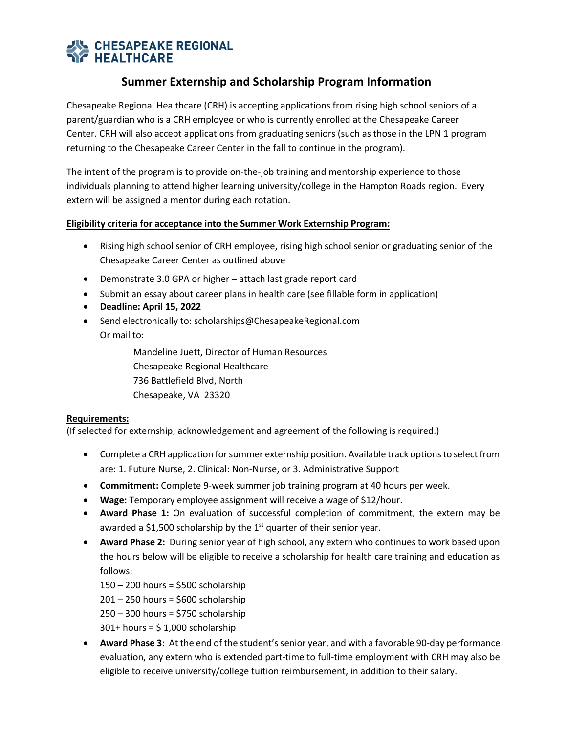# **AL CHESAPEAKE REGIONAL**<br>N**E HEALTHCARE**

## **Summer Externship and Scholarship Program Information**

Chesapeake Regional Healthcare (CRH) is accepting applications from rising high school seniors of a parent/guardian who is a CRH employee or who is currently enrolled at the Chesapeake Career Center. CRH will also accept applications from graduating seniors (such as those in the LPN 1 program returning to the Chesapeake Career Center in the fall to continue in the program).

The intent of the program is to provide on-the-job training and mentorship experience to those individuals planning to attend higher learning university/college in the Hampton Roads region. Every extern will be assigned a mentor during each rotation.

### **Eligibility criteria for acceptance into the Summer Work Externship Program:**

- Rising high school senior of CRH employee, rising high school senior or graduating senior of the Chesapeake Career Center as outlined above
- Demonstrate 3.0 GPA or higher attach last grade report card
- Submit an essay about career plans in health care (see fillable form in application)
- **Deadline: April 15, 2022**
- Send electronically to: scholarships@ChesapeakeRegional.com Or mail to:

Mandeline Juett, Director of Human Resources Chesapeake Regional Healthcare 736 Battlefield Blvd, North Chesapeake, VA 23320

#### **Requirements:**

(If selected for externship, acknowledgement and agreement of the following is required.)

- Complete a CRH application for summer externship position. Available track options to select from are: 1. Future Nurse, 2. Clinical: Non-Nurse, or 3. Administrative Support
- **Commitment:** Complete 9-week summer job training program at 40 hours per week.
- **Wage:** Temporary employee assignment will receive a wage of \$12/hour.
- **Award Phase 1:** On evaluation of successful completion of commitment, the extern may be awarded a \$1,500 scholarship by the  $1<sup>st</sup>$  quarter of their senior year.
- **Award Phase 2:** During senior year of high school, any extern who continues to work based upon the hours below will be eligible to receive a scholarship for health care training and education as follows:

150 – 200 hours = \$500 scholarship  $201 - 250$  hours = \$600 scholarship 250 – 300 hours = \$750 scholarship  $301+$  hours = \$1,000 scholarship

• **Award Phase 3**: At the end of the student's senior year, and with a favorable 90-day performance evaluation, any extern who is extended part-time to full-time employment with CRH may also be eligible to receive university/college tuition reimbursement, in addition to their salary.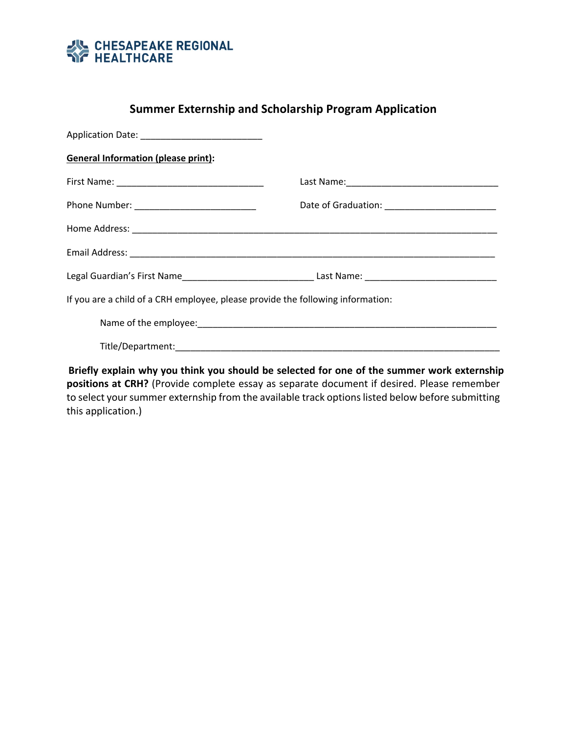

## **Summer Externship and Scholarship Program Application**

| <b>General Information (please print):</b>                                                          |  |  |  |  |
|-----------------------------------------------------------------------------------------------------|--|--|--|--|
|                                                                                                     |  |  |  |  |
|                                                                                                     |  |  |  |  |
|                                                                                                     |  |  |  |  |
|                                                                                                     |  |  |  |  |
| Legal Guardian's First Name________________________________Last Name: _____________________________ |  |  |  |  |
| If you are a child of a CRH employee, please provide the following information:                     |  |  |  |  |
|                                                                                                     |  |  |  |  |
|                                                                                                     |  |  |  |  |
|                                                                                                     |  |  |  |  |

**Briefly explain why you think you should be selected for one of the summer work externship positions at CRH?** (Provide complete essay as separate document if desired. Please remember to select your summer externship from the available track options listed below before submitting this application.)